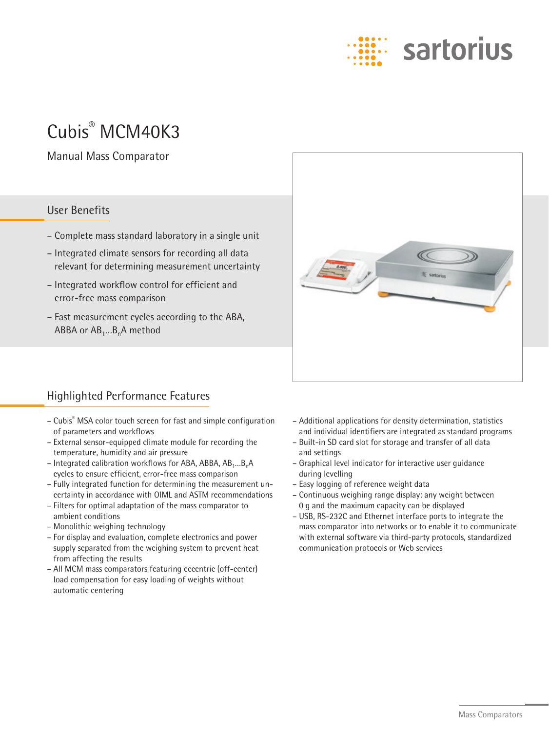

## Cubis® MCM40K3

Manual Mass Comparator

## User Benefits

- Complete mass standard laboratory in a single unit
- Integrated climate sensors for recording all data relevant for determining measurement uncertainty
- Integrated workflow control for efficient and error-free mass comparison
- Fast measurement cycles according to the ABA, ABBA or  $AB_1...B_n$ A method



## Highlighted Performance Features

- Cubis® MSA color touch screen for fast and simple configuration of parameters and workflows
- External sensor-equipped climate module for recording the temperature, humidity and air pressure
- Integrated calibration workflows for ABA, ABBA,  $AB$ <sub>1</sub>... $B<sub>n</sub>A$ cycles to ensure efficient, error-free mass comparison
- Fully integrated function for determining the measurement uncertainty in accordance with OIML and ASTM recommendations
- Filters for optimal adaptation of the mass comparator to ambient conditions
- Monolithic weighing technology
- For display and evaluation, complete electronics and power supply separated from the weighing system to prevent heat from affecting the results
- All MCM mass comparators featuring eccentric (off-center) load compensation for easy loading of weights without automatic centering
- Additional applications for density determination, statistics and individual identifiers are integrated as standard programs
- Built-in SD card slot for storage and transfer of all data and settings
- Graphical level indicator for interactive user guidance during levelling
- Easy logging of reference weight data
- Continuous weighing range display: any weight between 0 g and the maximum capacity can be displayed
- USB, RS-232C and Ethernet interface ports to integrate the mass comparator into networks or to enable it to communicate with external software via third-party protocols, standardized communication protocols or Web services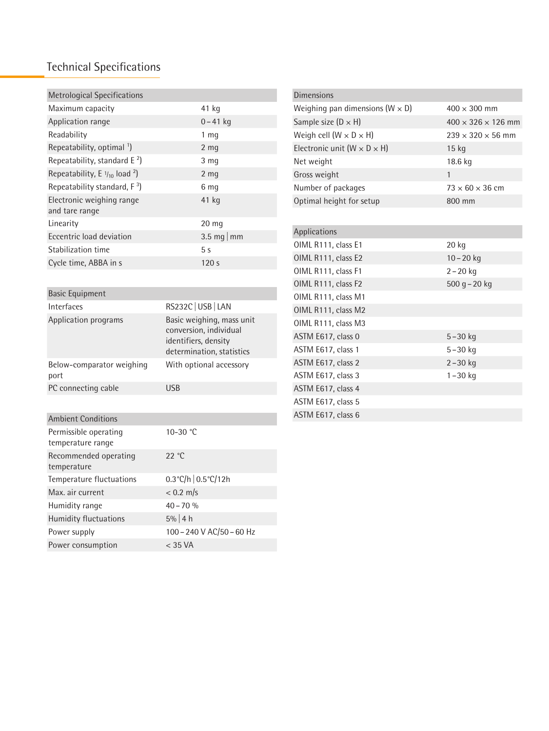## Technical Specifications

Power consumption  $<$  35 VA

| <b>Metrological Specifications</b>          |                                                                             | <b>Dimensions</b>                         |                                |
|---------------------------------------------|-----------------------------------------------------------------------------|-------------------------------------------|--------------------------------|
| Maximum capacity                            | 41 kg                                                                       | Weighing pan dimensions ( $W \times D$ )  | $400 \times 300$ mm            |
| Application range                           | $0 - 41$ kg                                                                 | Sample size $(D \times H)$                | $400 \times 326 \times 126$ mm |
| Readability                                 | 1 <sub>mg</sub>                                                             | Weigh cell $(W \times D \times H)$        | $239 \times 320 \times 56$ mm  |
| Repeatability, optimal 1)                   | 2 <sub>mg</sub>                                                             | Electronic unit ( $W \times D \times H$ ) | 15 kg                          |
| Repeatability, standard $E^2$ )             | 3 <sub>mg</sub>                                                             | Net weight                                | 18.6 kg                        |
| Repeatability, E $1/10$ load <sup>2</sup> ) | 2 <sub>mg</sub>                                                             | Gross weight                              | $\mathbf{1}$                   |
| Repeatability standard, F <sup>3</sup> )    | 6 mg                                                                        | Number of packages                        | $73 \times 60 \times 36$ cm    |
| Electronic weighing range<br>and tare range | 41 kg                                                                       | Optimal height for setup                  | 800 mm                         |
| Linearity                                   | $20$ mg                                                                     |                                           |                                |
| Eccentric load deviation                    | 3.5 mg   $mm$                                                               | Applications                              |                                |
| Stabilization time                          | 5 <sub>s</sub>                                                              | OIML R111, class E1                       | 20 kg                          |
| Cycle time, ABBA in s                       | 120 <sub>s</sub>                                                            | OIML R111, class E2                       | $10 - 20$ kg                   |
|                                             |                                                                             | OIML R111, class F1                       | $2 - 20$ kg                    |
| <b>Basic Equipment</b>                      |                                                                             | OIML R111, class F2                       | $500 g - 20 kg$                |
| Interfaces                                  | RS232C USB   LAN                                                            | OIML R111, class M1                       |                                |
|                                             |                                                                             | OIML R111, class M2                       |                                |
| Application programs                        | Basic weighing, mass unit<br>conversion, individual<br>identifiers, density | OIML R111, class M3                       |                                |
|                                             |                                                                             | ASTM E617, class 0                        | $5 - 30$ kg                    |
|                                             | determination, statistics                                                   | ASTM E617, class 1                        | $5 - 30$ kg                    |
| Below-comparator weighing                   | With optional accessory                                                     | ASTM E617, class 2                        | $2 - 30$ kg                    |
| port                                        |                                                                             | ASTM E617, class 3                        | $1 - 30$ kg                    |
| PC connecting cable                         | <b>USB</b>                                                                  | ASTM E617, class 4                        |                                |
|                                             |                                                                             | ASTM E617, class 5                        |                                |
| <b>Ambient Conditions</b>                   |                                                                             | ASTM E617, class 6                        |                                |
| Permissible operating<br>temperature range  | 10-30 °C                                                                    |                                           |                                |
| Recommended operating<br>temperature        | 22 °C                                                                       |                                           |                                |
| Temperature fluctuations                    | 0.3°C/h   0.5°C/12h                                                         |                                           |                                |
| Max. air current                            | $< 0.2$ m/s                                                                 |                                           |                                |
| Humidity range                              | $40 - 70 %$                                                                 |                                           |                                |
| Humidity fluctuations                       | $5\%$   4 h                                                                 |                                           |                                |
| Power supply                                | 100-240 V AC/50-60 Hz                                                       |                                           |                                |